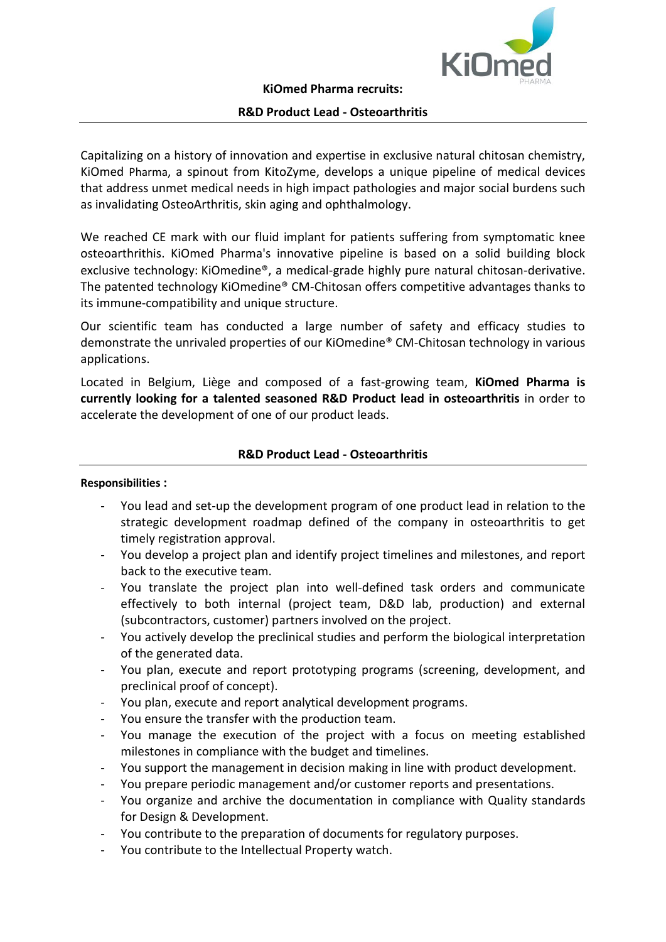

### **R&D Product Lead - Osteoarthritis**

Capitalizing on a history of innovation and expertise in exclusive natural chitosan chemistry, KiOmed Pharma, a spinout from KitoZyme, develops a unique pipeline of medical devices that address unmet medical needs in high impact pathologies and major social burdens such as invalidating OsteoArthritis, skin aging and ophthalmology.

We reached CE mark with our fluid implant for patients suffering from symptomatic knee osteoarthrithis. KiOmed Pharma's innovative pipeline is based on a solid building block exclusive technology: KiOmedine®, a medical-grade highly pure natural chitosan-derivative. The patented technology KiOmedine® CM-Chitosan offers competitive advantages thanks to its immune-compatibility and unique structure.

Our scientific team has conducted a large number of safety and efficacy studies to demonstrate the unrivaled properties of our KiOmedine® CM-Chitosan technology in various applications.

Located in Belgium, Liège and composed of a fast-growing team, **KiOmed Pharma is currently looking for a talented seasoned R&D Product lead in osteoarthritis** in order to accelerate the development of one of our product leads.

# **R&D Product Lead - Osteoarthritis**

#### **Responsibilities :**

- You lead and set-up the development program of one product lead in relation to the strategic development roadmap defined of the company in osteoarthritis to get timely registration approval.
- You develop a project plan and identify project timelines and milestones, and report back to the executive team.
- You translate the project plan into well-defined task orders and communicate effectively to both internal (project team, D&D lab, production) and external (subcontractors, customer) partners involved on the project.
- You actively develop the preclinical studies and perform the biological interpretation of the generated data.
- You plan, execute and report prototyping programs (screening, development, and preclinical proof of concept).
- You plan, execute and report analytical development programs.
- You ensure the transfer with the production team.
- You manage the execution of the project with a focus on meeting established milestones in compliance with the budget and timelines.
- You support the management in decision making in line with product development.
- You prepare periodic management and/or customer reports and presentations.
- You organize and archive the documentation in compliance with Quality standards for Design & Development.
- You contribute to the preparation of documents for regulatory purposes.
- You contribute to the Intellectual Property watch.